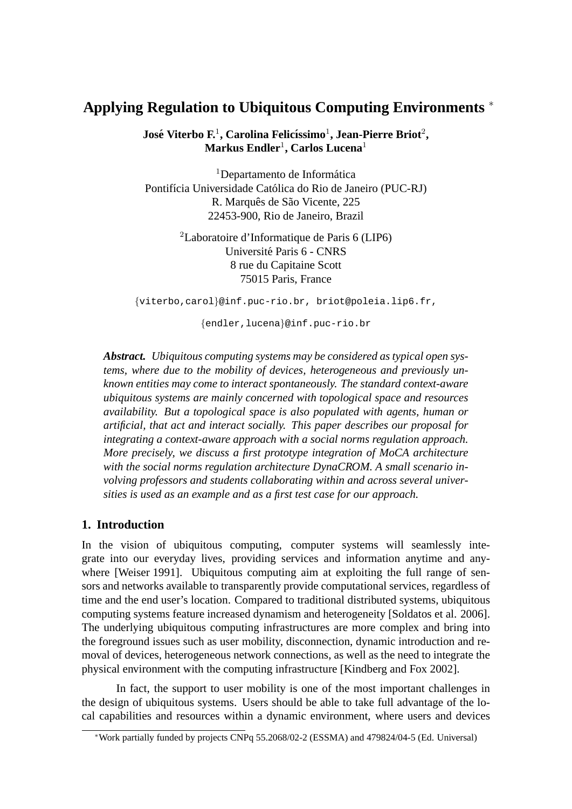# **Applying Regulation to Ubiquitous Computing Environments** <sup>∗</sup>

 $\boldsymbol{\mathrm{Jos}}$ é Viterbo F.<sup>1</sup>, Carolina Felicíssimo<sup>1</sup>, Jean-Pierre Briot<sup>2</sup>,  $\mathbf{Markus}\ \mathbf{Endler}^1, \mathbf{Carlos}\ \mathbf{Lucena}^1$ 

 $1$ Departamento de Informática Pontifícia Universidade Católica do Rio de Janeiro (PUC-RJ) R. Marquês de São Vicente, 225 22453-900, Rio de Janeiro, Brazil

> <sup>2</sup>Laboratoire d'Informatique de Paris 6 (LIP6) Universite Paris 6 - CNRS ´ 8 rue du Capitaine Scott 75015 Paris, France

{viterbo,carol}@inf.puc-rio.br, briot@poleia.lip6.fr,

{endler,lucena}@inf.puc-rio.br

*Abstract. Ubiquitous computing systems may be considered as typical open systems, where due to the mobility of devices, heterogeneous and previously unknown entities may come to interact spontaneously. The standard context-aware ubiquitous systems are mainly concerned with topological space and resources availability. But a topological space is also populated with agents, human or artificial, that act and interact socially. This paper describes our proposal for integrating a context-aware approach with a social norms regulation approach. More precisely, we discuss a first prototype integration of MoCA architecture with the social norms regulation architecture DynaCROM. A small scenario involving professors and students collaborating within and across several universities is used as an example and as a first test case for our approach.*

# **1. Introduction**

In the vision of ubiquitous computing, computer systems will seamlessly integrate into our everyday lives, providing services and information anytime and anywhere [Weiser 1991]. Ubiquitous computing aim at exploiting the full range of sensors and networks available to transparently provide computational services, regardless of time and the end user's location. Compared to traditional distributed systems, ubiquitous computing systems feature increased dynamism and heterogeneity [Soldatos et al. 2006]. The underlying ubiquitous computing infrastructures are more complex and bring into the foreground issues such as user mobility, disconnection, dynamic introduction and removal of devices, heterogeneous network connections, as well as the need to integrate the physical environment with the computing infrastructure [Kindberg and Fox 2002].

In fact, the support to user mobility is one of the most important challenges in the design of ubiquitous systems. Users should be able to take full advantage of the local capabilities and resources within a dynamic environment, where users and devices

<sup>∗</sup>Work partially funded by projects CNPq 55.2068/02-2 (ESSMA) and 479824/04-5 (Ed. Universal)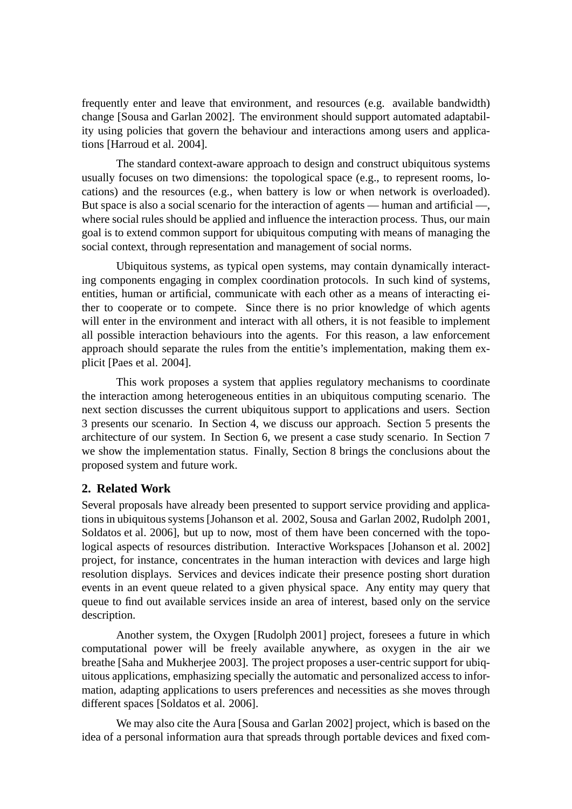frequently enter and leave that environment, and resources (e.g. available bandwidth) change [Sousa and Garlan 2002]. The environment should support automated adaptability using policies that govern the behaviour and interactions among users and applications [Harroud et al. 2004].

The standard context-aware approach to design and construct ubiquitous systems usually focuses on two dimensions: the topological space (e.g., to represent rooms, locations) and the resources (e.g., when battery is low or when network is overloaded). But space is also a social scenario for the interaction of agents — human and artificial —, where social rules should be applied and influence the interaction process. Thus, our main goal is to extend common support for ubiquitous computing with means of managing the social context, through representation and management of social norms.

Ubiquitous systems, as typical open systems, may contain dynamically interacting components engaging in complex coordination protocols. In such kind of systems, entities, human or artificial, communicate with each other as a means of interacting either to cooperate or to compete. Since there is no prior knowledge of which agents will enter in the environment and interact with all others, it is not feasible to implement all possible interaction behaviours into the agents. For this reason, a law enforcement approach should separate the rules from the entitie's implementation, making them explicit [Paes et al. 2004].

This work proposes a system that applies regulatory mechanisms to coordinate the interaction among heterogeneous entities in an ubiquitous computing scenario. The next section discusses the current ubiquitous support to applications and users. Section 3 presents our scenario. In Section 4, we discuss our approach. Section 5 presents the architecture of our system. In Section 6, we present a case study scenario. In Section 7 we show the implementation status. Finally, Section 8 brings the conclusions about the proposed system and future work.

# **2. Related Work**

Several proposals have already been presented to support service providing and applications in ubiquitous systems [Johanson et al. 2002, Sousa and Garlan 2002, Rudolph 2001, Soldatos et al. 2006], but up to now, most of them have been concerned with the topological aspects of resources distribution. Interactive Workspaces [Johanson et al. 2002] project, for instance, concentrates in the human interaction with devices and large high resolution displays. Services and devices indicate their presence posting short duration events in an event queue related to a given physical space. Any entity may query that queue to find out available services inside an area of interest, based only on the service description.

Another system, the Oxygen [Rudolph 2001] project, foresees a future in which computational power will be freely available anywhere, as oxygen in the air we breathe [Saha and Mukherjee 2003]. The project proposes a user-centric support for ubiquitous applications, emphasizing specially the automatic and personalized access to information, adapting applications to users preferences and necessities as she moves through different spaces [Soldatos et al. 2006].

We may also cite the Aura [Sousa and Garlan 2002] project, which is based on the idea of a personal information aura that spreads through portable devices and fixed com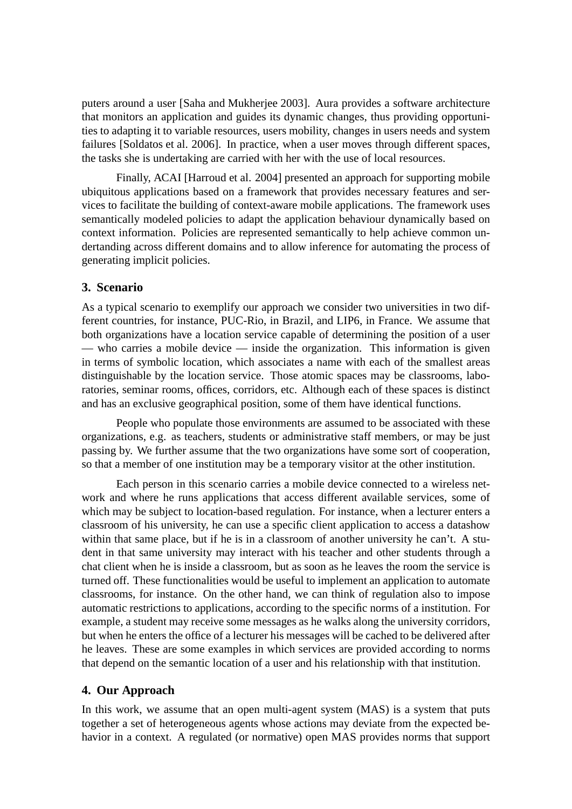puters around a user [Saha and Mukherjee 2003]. Aura provides a software architecture that monitors an application and guides its dynamic changes, thus providing opportunities to adapting it to variable resources, users mobility, changes in users needs and system failures [Soldatos et al. 2006]. In practice, when a user moves through different spaces, the tasks she is undertaking are carried with her with the use of local resources.

Finally, ACAI [Harroud et al. 2004] presented an approach for supporting mobile ubiquitous applications based on a framework that provides necessary features and services to facilitate the building of context-aware mobile applications. The framework uses semantically modeled policies to adapt the application behaviour dynamically based on context information. Policies are represented semantically to help achieve common undertanding across different domains and to allow inference for automating the process of generating implicit policies.

#### **3. Scenario**

As a typical scenario to exemplify our approach we consider two universities in two different countries, for instance, PUC-Rio, in Brazil, and LIP6, in France. We assume that both organizations have a location service capable of determining the position of a user — who carries a mobile device — inside the organization. This information is given in terms of symbolic location, which associates a name with each of the smallest areas distinguishable by the location service. Those atomic spaces may be classrooms, laboratories, seminar rooms, offices, corridors, etc. Although each of these spaces is distinct and has an exclusive geographical position, some of them have identical functions.

People who populate those environments are assumed to be associated with these organizations, e.g. as teachers, students or administrative staff members, or may be just passing by. We further assume that the two organizations have some sort of cooperation, so that a member of one institution may be a temporary visitor at the other institution.

Each person in this scenario carries a mobile device connected to a wireless network and where he runs applications that access different available services, some of which may be subject to location-based regulation. For instance, when a lecturer enters a classroom of his university, he can use a specific client application to access a datashow within that same place, but if he is in a classroom of another university he can't. A student in that same university may interact with his teacher and other students through a chat client when he is inside a classroom, but as soon as he leaves the room the service is turned off. These functionalities would be useful to implement an application to automate classrooms, for instance. On the other hand, we can think of regulation also to impose automatic restrictions to applications, according to the specific norms of a institution. For example, a student may receive some messages as he walks along the university corridors, but when he enters the office of a lecturer his messages will be cached to be delivered after he leaves. These are some examples in which services are provided according to norms that depend on the semantic location of a user and his relationship with that institution.

#### **4. Our Approach**

In this work, we assume that an open multi-agent system (MAS) is a system that puts together a set of heterogeneous agents whose actions may deviate from the expected behavior in a context. A regulated (or normative) open MAS provides norms that support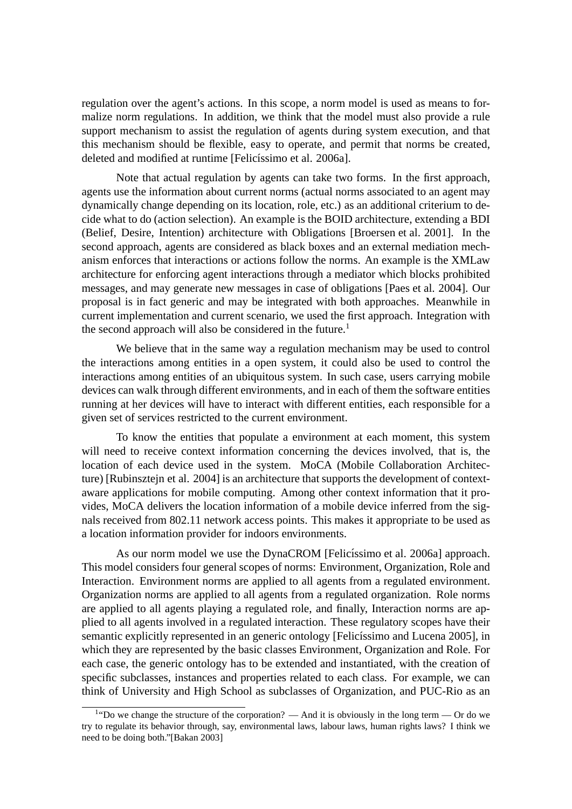regulation over the agent's actions. In this scope, a norm model is used as means to formalize norm regulations. In addition, we think that the model must also provide a rule support mechanism to assist the regulation of agents during system execution, and that this mechanism should be flexible, easy to operate, and permit that norms be created, deleted and modified at runtime [Felicíssimo et al. 2006a].

Note that actual regulation by agents can take two forms. In the first approach, agents use the information about current norms (actual norms associated to an agent may dynamically change depending on its location, role, etc.) as an additional criterium to decide what to do (action selection). An example is the BOID architecture, extending a BDI (Belief, Desire, Intention) architecture with Obligations [Broersen et al. 2001]. In the second approach, agents are considered as black boxes and an external mediation mechanism enforces that interactions or actions follow the norms. An example is the XMLaw architecture for enforcing agent interactions through a mediator which blocks prohibited messages, and may generate new messages in case of obligations [Paes et al. 2004]. Our proposal is in fact generic and may be integrated with both approaches. Meanwhile in current implementation and current scenario, we used the first approach. Integration with the second approach will also be considered in the future.<sup>1</sup>

We believe that in the same way a regulation mechanism may be used to control the interactions among entities in a open system, it could also be used to control the interactions among entities of an ubiquitous system. In such case, users carrying mobile devices can walk through different environments, and in each of them the software entities running at her devices will have to interact with different entities, each responsible for a given set of services restricted to the current environment.

To know the entities that populate a environment at each moment, this system will need to receive context information concerning the devices involved, that is, the location of each device used in the system. MoCA (Mobile Collaboration Architecture) [Rubinsztejn et al. 2004] is an architecture that supports the development of contextaware applications for mobile computing. Among other context information that it provides, MoCA delivers the location information of a mobile device inferred from the signals received from 802.11 network access points. This makes it appropriate to be used as a location information provider for indoors environments.

As our norm model we use the DynaCROM [Felicíssimo et al. 2006a] approach. This model considers four general scopes of norms: Environment, Organization, Role and Interaction. Environment norms are applied to all agents from a regulated environment. Organization norms are applied to all agents from a regulated organization. Role norms are applied to all agents playing a regulated role, and finally, Interaction norms are applied to all agents involved in a regulated interaction. These regulatory scopes have their semantic explicitly represented in an generic ontology [Felicíssimo and Lucena 2005], in which they are represented by the basic classes Environment, Organization and Role. For each case, the generic ontology has to be extended and instantiated, with the creation of specific subclasses, instances and properties related to each class. For example, we can think of University and High School as subclasses of Organization, and PUC-Rio as an

<sup>&</sup>lt;sup>1</sup>"Do we change the structure of the corporation? — And it is obviously in the long term — Or do we try to regulate its behavior through, say, environmental laws, labour laws, human rights laws? I think we need to be doing both."[Bakan 2003]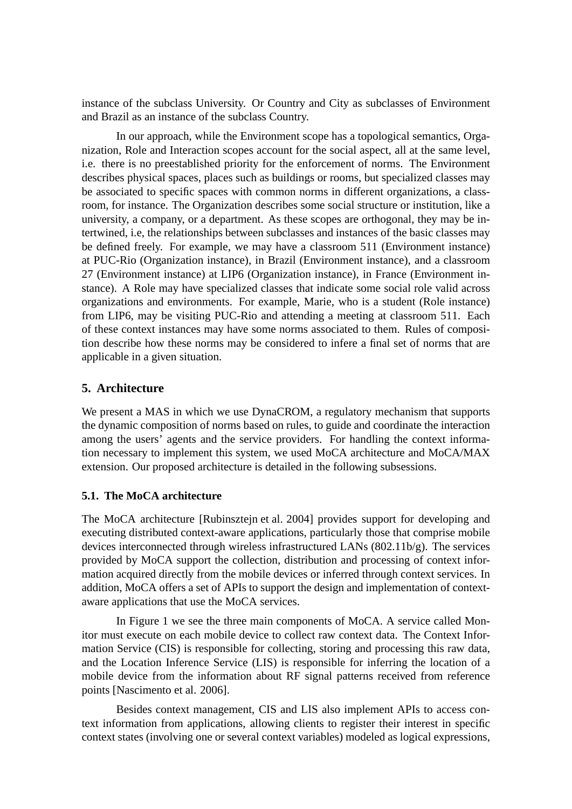instance of the subclass University. Or Country and City as subclasses of Environment and Brazil as an instance of the subclass Country.

In our approach, while the Environment scope has a topological semantics, Organization, Role and Interaction scopes account for the social aspect, all at the same level, i.e. there is no preestablished priority for the enforcement of norms. The Environment describes physical spaces, places such as buildings or rooms, but specialized classes may be associated to specific spaces with common norms in different organizations, a classroom, for instance. The Organization describes some social structure or institution, like a university, a company, or a department. As these scopes are orthogonal, they may be intertwined, i.e, the relationships between subclasses and instances of the basic classes may be defined freely. For example, we may have a classroom 511 (Environment instance) at PUC-Rio (Organization instance), in Brazil (Environment instance), and a classroom 27 (Environment instance) at LIP6 (Organization instance), in France (Environment instance). A Role may have specialized classes that indicate some social role valid across organizations and environments. For example, Marie, who is a student (Role instance) from LIP6, may be visiting PUC-Rio and attending a meeting at classroom 511. Each of these context instances may have some norms associated to them. Rules of composition describe how these norms may be considered to infere a final set of norms that are applicable in a given situation.

## **5. Architecture**

We present a MAS in which we use DynaCROM, a regulatory mechanism that supports the dynamic composition of norms based on rules, to guide and coordinate the interaction among the users' agents and the service providers. For handling the context information necessary to implement this system, we used MoCA architecture and MoCA/MAX extension. Our proposed architecture is detailed in the following subsessions.

## **5.1. The MoCA architecture**

The MoCA architecture [Rubinsztejn et al. 2004] provides support for developing and executing distributed context-aware applications, particularly those that comprise mobile devices interconnected through wireless infrastructured LANs (802.11b/g). The services provided by MoCA support the collection, distribution and processing of context information acquired directly from the mobile devices or inferred through context services. In addition, MoCA offers a set of APIs to support the design and implementation of contextaware applications that use the MoCA services.

In Figure 1 we see the three main components of MoCA. A service called Monitor must execute on each mobile device to collect raw context data. The Context Information Service (CIS) is responsible for collecting, storing and processing this raw data, and the Location Inference Service (LIS) is responsible for inferring the location of a mobile device from the information about RF signal patterns received from reference points [Nascimento et al. 2006].

Besides context management, CIS and LIS also implement APIs to access context information from applications, allowing clients to register their interest in specific context states (involving one or several context variables) modeled as logical expressions,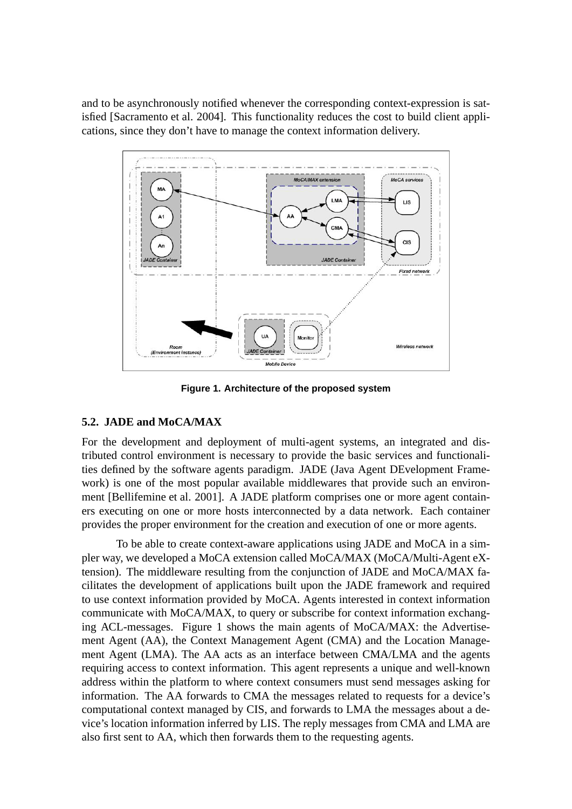and to be asynchronously notified whenever the corresponding context-expression is satisfied [Sacramento et al. 2004]. This functionality reduces the cost to build client applications, since they don't have to manage the context information delivery.



**Figure 1. Architecture of the proposed system**

## **5.2. JADE and MoCA/MAX**

For the development and deployment of multi-agent systems, an integrated and distributed control environment is necessary to provide the basic services and functionalities defined by the software agents paradigm. JADE (Java Agent DEvelopment Framework) is one of the most popular available middlewares that provide such an environment [Bellifemine et al. 2001]. A JADE platform comprises one or more agent containers executing on one or more hosts interconnected by a data network. Each container provides the proper environment for the creation and execution of one or more agents.

To be able to create context-aware applications using JADE and MoCA in a simpler way, we developed a MoCA extension called MoCA/MAX (MoCA/Multi-Agent eXtension). The middleware resulting from the conjunction of JADE and MoCA/MAX facilitates the development of applications built upon the JADE framework and required to use context information provided by MoCA. Agents interested in context information communicate with MoCA/MAX, to query or subscribe for context information exchanging ACL-messages. Figure 1 shows the main agents of MoCA/MAX: the Advertisement Agent (AA), the Context Management Agent (CMA) and the Location Management Agent (LMA). The AA acts as an interface between CMA/LMA and the agents requiring access to context information. This agent represents a unique and well-known address within the platform to where context consumers must send messages asking for information. The AA forwards to CMA the messages related to requests for a device's computational context managed by CIS, and forwards to LMA the messages about a device's location information inferred by LIS. The reply messages from CMA and LMA are also first sent to AA, which then forwards them to the requesting agents.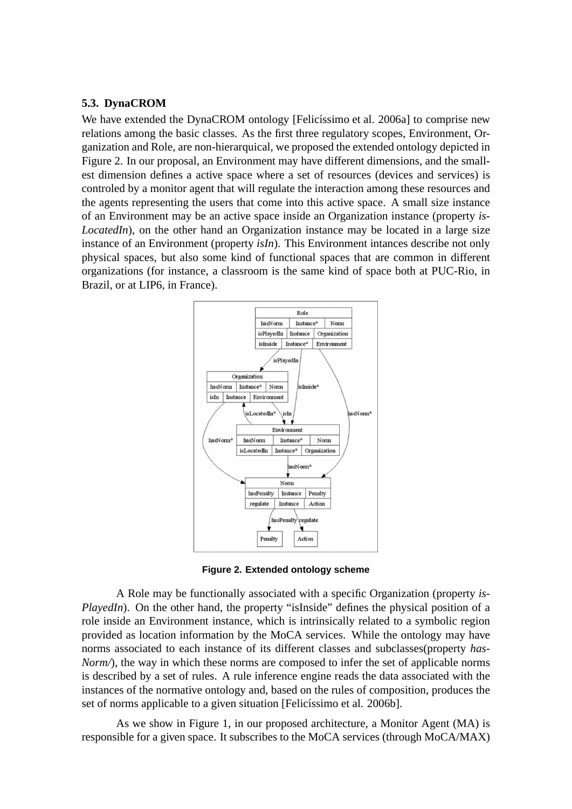#### **5.3. DynaCROM**

We have extended the DynaCROM ontology [Felicíssimo et al. 2006a] to comprise new relations among the basic classes. As the first three regulatory scopes, Environment, Organization and Role, are non-hierarquical, we proposed the extended ontology depicted in Figure 2. In our proposal, an Environment may have different dimensions, and the smallest dimension defines a active space where a set of resources (devices and services) is controled by a monitor agent that will regulate the interaction among these resources and the agents representing the users that come into this active space. A small size instance of an Environment may be an active space inside an Organization instance (property *is-LocatedIn*), on the other hand an Organization instance may be located in a large size instance of an Environment (property *isIn*). This Environment intances describe not only physical spaces, but also some kind of functional spaces that are common in different organizations (for instance, a classroom is the same kind of space both at PUC-Rio, in Brazil, or at LIP6, in France).



**Figure 2. Extended ontology scheme**

A Role may be functionally associated with a specific Organization (property *is-PlayedIn*). On the other hand, the property "isInside" defines the physical position of a role inside an Environment instance, which is intrinsically related to a symbolic region provided as location information by the MoCA services. While the ontology may have norms associated to each instance of its different classes and subclasses(property *has-Norm*/), the way in which these norms are composed to infer the set of applicable norms is described by a set of rules. A rule inference engine reads the data associated with the instances of the normative ontology and, based on the rules of composition, produces the set of norms applicable to a given situation [Felicíssimo et al. 2006b].

As we show in Figure 1, in our proposed architecture, a Monitor Agent (MA) is responsible for a given space. It subscribes to the MoCA services (through MoCA/MAX)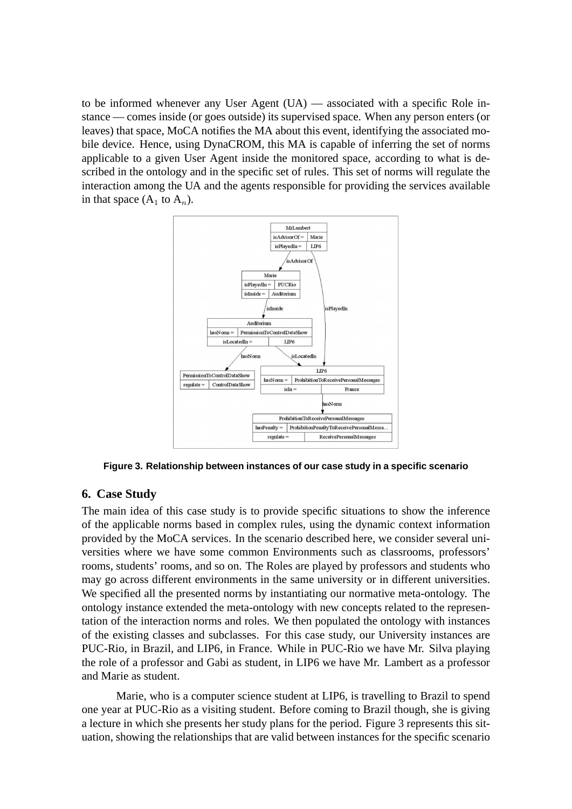to be informed whenever any User Agent (UA) — associated with a specific Role instance — comes inside (or goes outside) its supervised space. When any person enters (or leaves) that space, MoCA notifies the MA about this event, identifying the associated mobile device. Hence, using DynaCROM, this MA is capable of inferring the set of norms applicable to a given User Agent inside the monitored space, according to what is described in the ontology and in the specific set of rules. This set of norms will regulate the interaction among the UA and the agents responsible for providing the services available in that space  $(A_1$  to  $A_n$ ).



**Figure 3. Relationship between instances of our case study in a specific scenario**

## **6. Case Study**

The main idea of this case study is to provide specific situations to show the inference of the applicable norms based in complex rules, using the dynamic context information provided by the MoCA services. In the scenario described here, we consider several universities where we have some common Environments such as classrooms, professors' rooms, students' rooms, and so on. The Roles are played by professors and students who may go across different environments in the same university or in different universities. We specified all the presented norms by instantiating our normative meta-ontology. The ontology instance extended the meta-ontology with new concepts related to the representation of the interaction norms and roles. We then populated the ontology with instances of the existing classes and subclasses. For this case study, our University instances are PUC-Rio, in Brazil, and LIP6, in France. While in PUC-Rio we have Mr. Silva playing the role of a professor and Gabi as student, in LIP6 we have Mr. Lambert as a professor and Marie as student.

Marie, who is a computer science student at LIP6, is travelling to Brazil to spend one year at PUC-Rio as a visiting student. Before coming to Brazil though, she is giving a lecture in which she presents her study plans for the period. Figure 3 represents this situation, showing the relationships that are valid between instances for the specific scenario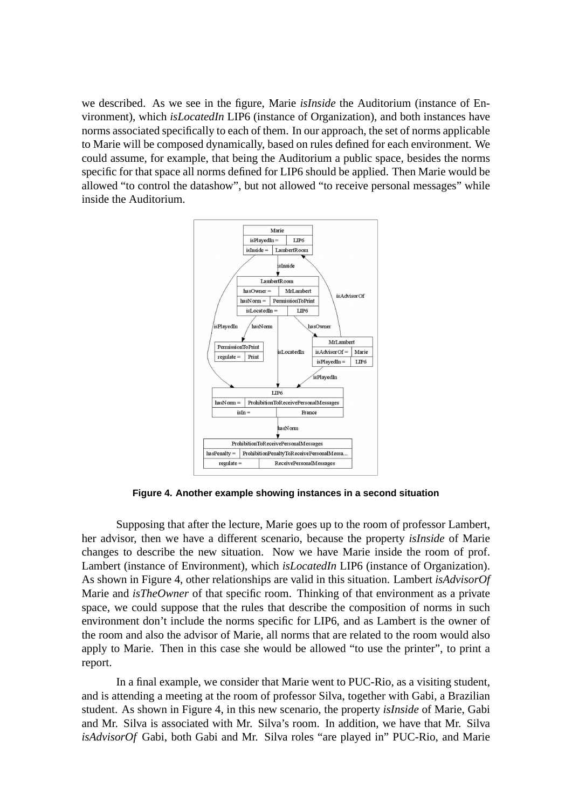we described. As we see in the figure, Marie *isInside* the Auditorium (instance of Environment), which *isLocatedIn* LIP6 (instance of Organization), and both instances have norms associated specifically to each of them. In our approach, the set of norms applicable to Marie will be composed dynamically, based on rules defined for each environment. We could assume, for example, that being the Auditorium a public space, besides the norms specific for that space all norms defined for LIP6 should be applied. Then Marie would be allowed "to control the datashow", but not allowed "to receive personal messages" while inside the Auditorium.



**Figure 4. Another example showing instances in a second situation**

Supposing that after the lecture, Marie goes up to the room of professor Lambert, her advisor, then we have a different scenario, because the property *isInside* of Marie changes to describe the new situation. Now we have Marie inside the room of prof. Lambert (instance of Environment), which *isLocatedIn* LIP6 (instance of Organization). As shown in Figure 4, other relationships are valid in this situation. Lambert *isAdvisorOf* Marie and *isTheOwner* of that specific room. Thinking of that environment as a private space, we could suppose that the rules that describe the composition of norms in such environment don't include the norms specific for LIP6, and as Lambert is the owner of the room and also the advisor of Marie, all norms that are related to the room would also apply to Marie. Then in this case she would be allowed "to use the printer", to print a report.

In a final example, we consider that Marie went to PUC-Rio, as a visiting student, and is attending a meeting at the room of professor Silva, together with Gabi, a Brazilian student. As shown in Figure 4, in this new scenario, the property *isInside* of Marie, Gabi and Mr. Silva is associated with Mr. Silva's room. In addition, we have that Mr. Silva *isAdvisorOf* Gabi, both Gabi and Mr. Silva roles "are played in" PUC-Rio, and Marie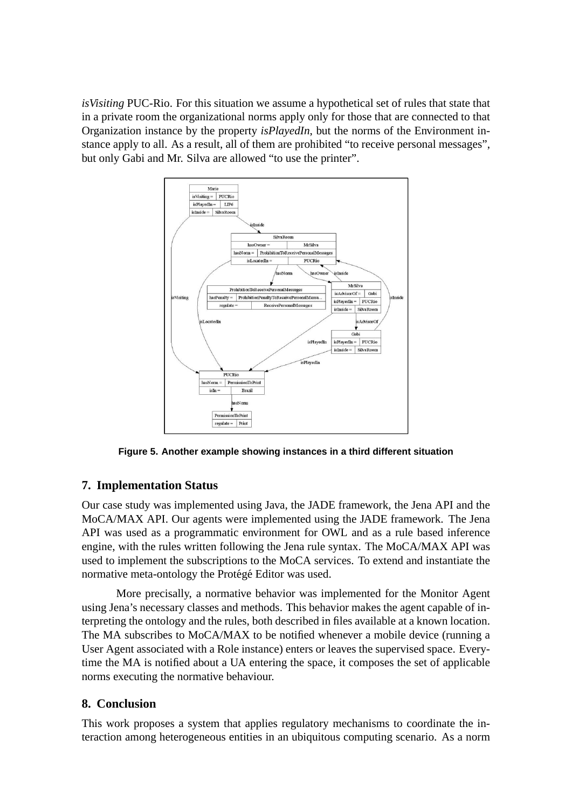*isVisiting* PUC-Rio. For this situation we assume a hypothetical set of rules that state that in a private room the organizational norms apply only for those that are connected to that Organization instance by the property *isPlayedIn*, but the norms of the Environment instance apply to all. As a result, all of them are prohibited "to receive personal messages", but only Gabi and Mr. Silva are allowed "to use the printer".



**Figure 5. Another example showing instances in a third different situation**

# **7. Implementation Status**

Our case study was implemented using Java, the JADE framework, the Jena API and the MoCA/MAX API. Our agents were implemented using the JADE framework. The Jena API was used as a programmatic environment for OWL and as a rule based inference engine, with the rules written following the Jena rule syntax. The MoCA/MAX API was used to implement the subscriptions to the MoCA services. To extend and instantiate the normative meta-ontology the Protégé Editor was used.

More precisally, a normative behavior was implemented for the Monitor Agent using Jena's necessary classes and methods. This behavior makes the agent capable of interpreting the ontology and the rules, both described in files available at a known location. The MA subscribes to MoCA/MAX to be notified whenever a mobile device (running a User Agent associated with a Role instance) enters or leaves the supervised space. Everytime the MA is notified about a UA entering the space, it composes the set of applicable norms executing the normative behaviour.

# **8. Conclusion**

This work proposes a system that applies regulatory mechanisms to coordinate the interaction among heterogeneous entities in an ubiquitous computing scenario. As a norm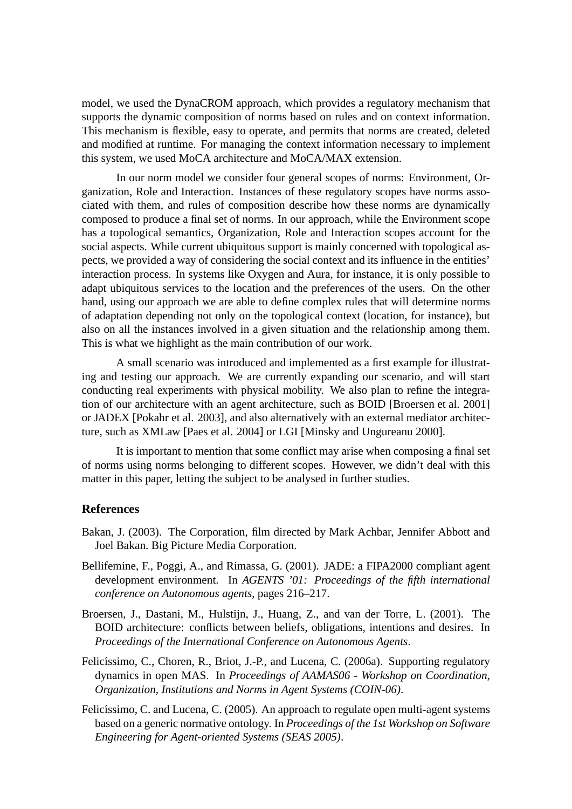model, we used the DynaCROM approach, which provides a regulatory mechanism that supports the dynamic composition of norms based on rules and on context information. This mechanism is flexible, easy to operate, and permits that norms are created, deleted and modified at runtime. For managing the context information necessary to implement this system, we used MoCA architecture and MoCA/MAX extension.

In our norm model we consider four general scopes of norms: Environment, Organization, Role and Interaction. Instances of these regulatory scopes have norms associated with them, and rules of composition describe how these norms are dynamically composed to produce a final set of norms. In our approach, while the Environment scope has a topological semantics, Organization, Role and Interaction scopes account for the social aspects. While current ubiquitous support is mainly concerned with topological aspects, we provided a way of considering the social context and its influence in the entities' interaction process. In systems like Oxygen and Aura, for instance, it is only possible to adapt ubiquitous services to the location and the preferences of the users. On the other hand, using our approach we are able to define complex rules that will determine norms of adaptation depending not only on the topological context (location, for instance), but also on all the instances involved in a given situation and the relationship among them. This is what we highlight as the main contribution of our work.

A small scenario was introduced and implemented as a first example for illustrating and testing our approach. We are currently expanding our scenario, and will start conducting real experiments with physical mobility. We also plan to refine the integration of our architecture with an agent architecture, such as BOID [Broersen et al. 2001] or JADEX [Pokahr et al. 2003], and also alternatively with an external mediator architecture, such as XMLaw [Paes et al. 2004] or LGI [Minsky and Ungureanu 2000].

It is important to mention that some conflict may arise when composing a final set of norms using norms belonging to different scopes. However, we didn't deal with this matter in this paper, letting the subject to be analysed in further studies.

#### **References**

- Bakan, J. (2003). The Corporation, film directed by Mark Achbar, Jennifer Abbott and Joel Bakan. Big Picture Media Corporation.
- Bellifemine, F., Poggi, A., and Rimassa, G. (2001). JADE: a FIPA2000 compliant agent development environment. In *AGENTS '01: Proceedings of the fifth international conference on Autonomous agents*, pages 216–217.
- Broersen, J., Dastani, M., Hulstijn, J., Huang, Z., and van der Torre, L. (2001). The BOID architecture: conflicts between beliefs, obligations, intentions and desires. In *Proceedings of the International Conference on Autonomous Agents*.
- Felicíssimo, C., Choren, R., Briot, J.-P., and Lucena, C. (2006a). Supporting regulatory dynamics in open MAS. In *Proceedings of AAMAS06 - Workshop on Coordination, Organization, Institutions and Norms in Agent Systems (COIN-06)*.
- Felicíssimo, C. and Lucena, C. (2005). An approach to regulate open multi-agent systems based on a generic normative ontology. In *Proceedings of the 1st Workshop on Software Engineering for Agent-oriented Systems (SEAS 2005)*.